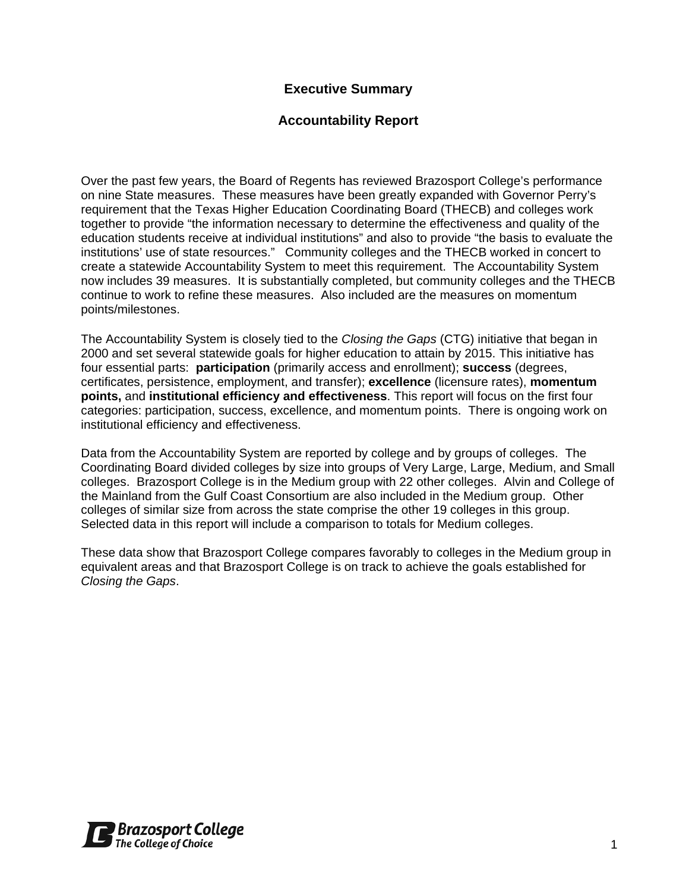## **Executive Summary**

### **Accountability Report**

Over the past few years, the Board of Regents has reviewed Brazosport College's performance on nine State measures. These measures have been greatly expanded with Governor Perry's requirement that the Texas Higher Education Coordinating Board (THECB) and colleges work together to provide "the information necessary to determine the effectiveness and quality of the education students receive at individual institutions" and also to provide "the basis to evaluate the institutions' use of state resources." Community colleges and the THECB worked in concert to create a statewide Accountability System to meet this requirement. The Accountability System now includes 39 measures. It is substantially completed, but community colleges and the THECB continue to work to refine these measures. Also included are the measures on momentum points/milestones.

The Accountability System is closely tied to the *Closing the Gaps* (CTG) initiative that began in 2000 and set several statewide goals for higher education to attain by 2015. This initiative has four essential parts: **participation** (primarily access and enrollment); **success** (degrees, certificates, persistence, employment, and transfer); **excellence** (licensure rates), **momentum points,** and **institutional efficiency and effectiveness**. This report will focus on the first four categories: participation, success, excellence, and momentum points. There is ongoing work on institutional efficiency and effectiveness.

Data from the Accountability System are reported by college and by groups of colleges. The Coordinating Board divided colleges by size into groups of Very Large, Large, Medium, and Small colleges. Brazosport College is in the Medium group with 22 other colleges. Alvin and College of the Mainland from the Gulf Coast Consortium are also included in the Medium group. Other colleges of similar size from across the state comprise the other 19 colleges in this group. Selected data in this report will include a comparison to totals for Medium colleges.

These data show that Brazosport College compares favorably to colleges in the Medium group in equivalent areas and that Brazosport College is on track to achieve the goals established for *Closing the Gaps*.

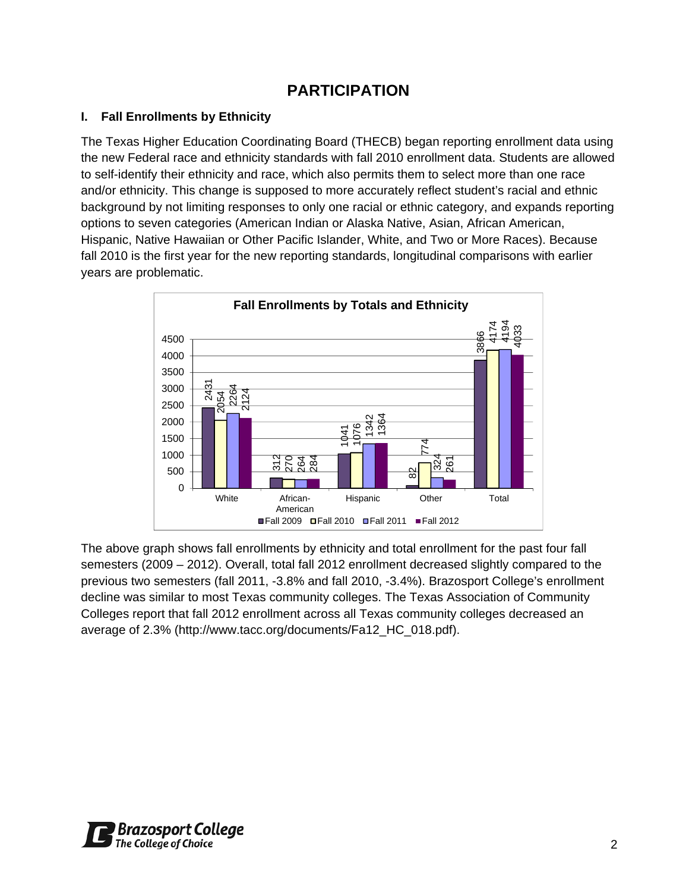# **PARTICIPATION**

## **I. Fall Enrollments by Ethnicity**

The Texas Higher Education Coordinating Board (THECB) began reporting enrollment data using the new Federal race and ethnicity standards with fall 2010 enrollment data. Students are allowed to self-identify their ethnicity and race, which also permits them to select more than one race and/or ethnicity. This change is supposed to more accurately reflect student's racial and ethnic background by not limiting responses to only one racial or ethnic category, and expands reporting options to seven categories (American Indian or Alaska Native, Asian, African American, Hispanic, Native Hawaiian or Other Pacific Islander, White, and Two or More Races). Because fall 2010 is the first year for the new reporting standards, longitudinal comparisons with earlier years are problematic.



The above graph shows fall enrollments by ethnicity and total enrollment for the past four fall semesters (2009 – 2012). Overall, total fall 2012 enrollment decreased slightly compared to the previous two semesters (fall 2011, -3.8% and fall 2010, -3.4%). Brazosport College's enrollment decline was similar to most Texas community colleges. The Texas Association of Community Colleges report that fall 2012 enrollment across all Texas community colleges decreased an average of 2.3% (http://www.tacc.org/documents/Fa12\_HC\_018.pdf).

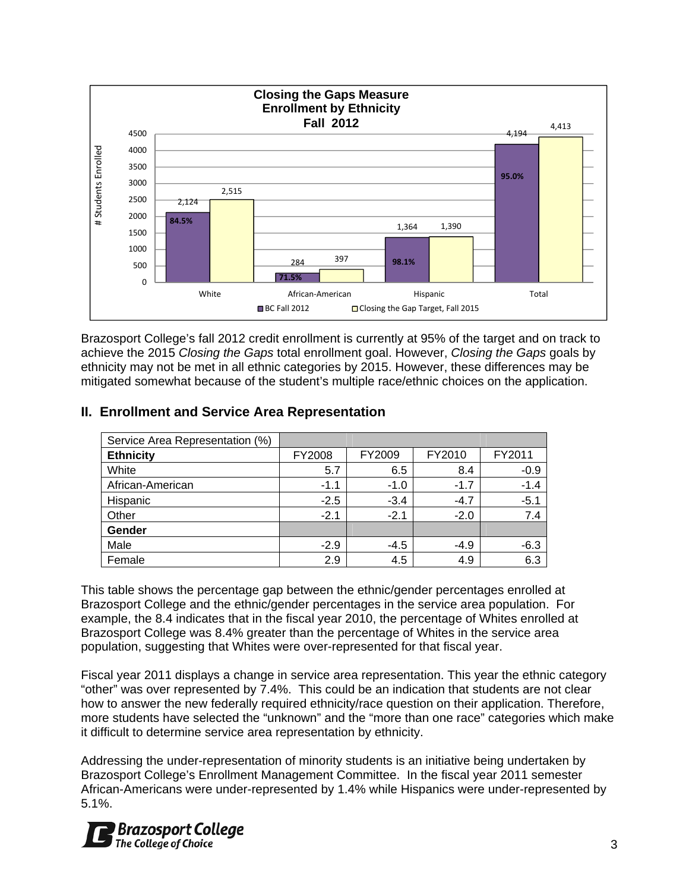

Brazosport College's fall 2012 credit enrollment is currently at 95% of the target and on track to achieve the 2015 *Closing the Gaps* total enrollment goal. However, *Closing the Gaps* goals by ethnicity may not be met in all ethnic categories by 2015. However, these differences may be mitigated somewhat because of the student's multiple race/ethnic choices on the application.

| Service Area Representation (%) |        |        |        |        |
|---------------------------------|--------|--------|--------|--------|
| <b>Ethnicity</b>                | FY2008 | FY2009 | FY2010 | FY2011 |
| White                           | 5.7    | 6.5    | 8.4    | $-0.9$ |
| African-American                | $-1.1$ | $-1.0$ | $-1.7$ | $-1.4$ |
| Hispanic                        | $-2.5$ | $-3.4$ | $-4.7$ | $-5.1$ |
| Other                           | $-2.1$ | $-2.1$ | $-2.0$ | 7.4    |
| Gender                          |        |        |        |        |
| Male                            | $-2.9$ | $-4.5$ | $-4.9$ | $-6.3$ |
| Female                          | 2.9    | 4.5    | 4.9    | 6.3    |

## **II. Enrollment and Service Area Representation**

This table shows the percentage gap between the ethnic/gender percentages enrolled at Brazosport College and the ethnic/gender percentages in the service area population. For example, the 8.4 indicates that in the fiscal year 2010, the percentage of Whites enrolled at Brazosport College was 8.4% greater than the percentage of Whites in the service area population, suggesting that Whites were over-represented for that fiscal year.

Fiscal year 2011 displays a change in service area representation. This year the ethnic category "other" was over represented by 7.4%. This could be an indication that students are not clear how to answer the new federally required ethnicity/race question on their application. Therefore, more students have selected the "unknown" and the "more than one race" categories which make it difficult to determine service area representation by ethnicity.

Addressing the under-representation of minority students is an initiative being undertaken by Brazosport College's Enrollment Management Committee. In the fiscal year 2011 semester African-Americans were under-represented by 1.4% while Hispanics were under-represented by 5.1%.

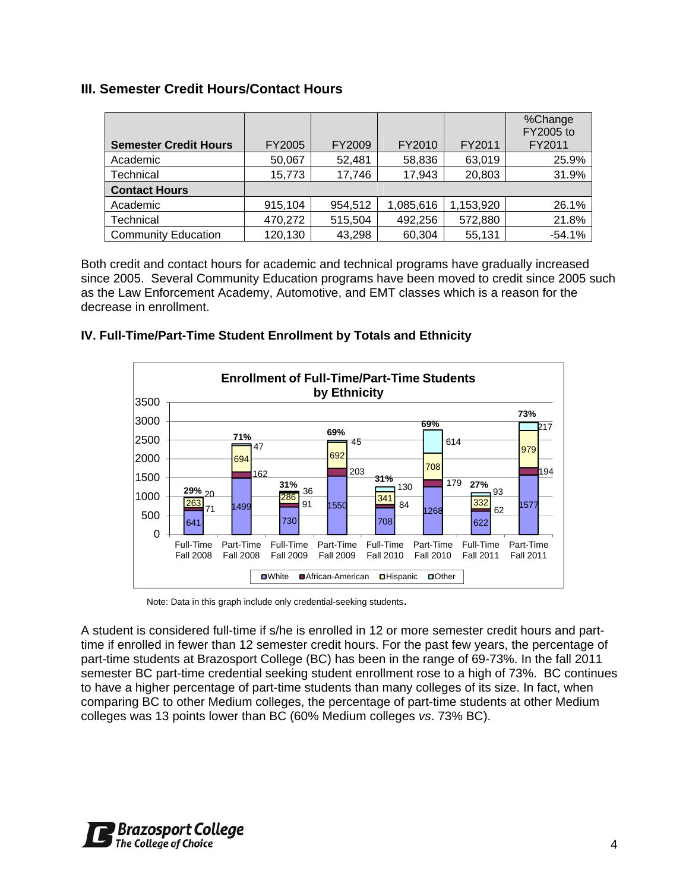## **III. Semester Credit Hours/Contact Hours**

| <b>Semester Credit Hours</b> | <b>FY2005</b> | FY2009  | FY2010    | FY2011    | %Change<br>FY2005 to<br>FY2011 |
|------------------------------|---------------|---------|-----------|-----------|--------------------------------|
| Academic                     | 50,067        | 52,481  | 58,836    | 63,019    | 25.9%                          |
| Technical                    | 15,773        | 17,746  | 17,943    | 20,803    | 31.9%                          |
| <b>Contact Hours</b>         |               |         |           |           |                                |
| Academic                     | 915,104       | 954,512 | 1,085,616 | 1,153,920 | 26.1%                          |
| Technical                    | 470,272       | 515,504 | 492,256   | 572,880   | 21.8%                          |
| <b>Community Education</b>   | 120,130       | 43,298  | 60,304    | 55,131    | $-54.1%$                       |

Both credit and contact hours for academic and technical programs have gradually increased since 2005. Several Community Education programs have been moved to credit since 2005 such as the Law Enforcement Academy, Automotive, and EMT classes which is a reason for the decrease in enrollment.

#### **IV. Full-Time/Part-Time Student Enrollment by Totals and Ethnicity**



Note: Data in this graph include only credential-seeking students.

A student is considered full-time if s/he is enrolled in 12 or more semester credit hours and parttime if enrolled in fewer than 12 semester credit hours. For the past few years, the percentage of part-time students at Brazosport College (BC) has been in the range of 69-73%. In the fall 2011 semester BC part-time credential seeking student enrollment rose to a high of 73%. BC continues to have a higher percentage of part-time students than many colleges of its size. In fact, when comparing BC to other Medium colleges, the percentage of part-time students at other Medium colleges was 13 points lower than BC (60% Medium colleges *vs*. 73% BC).

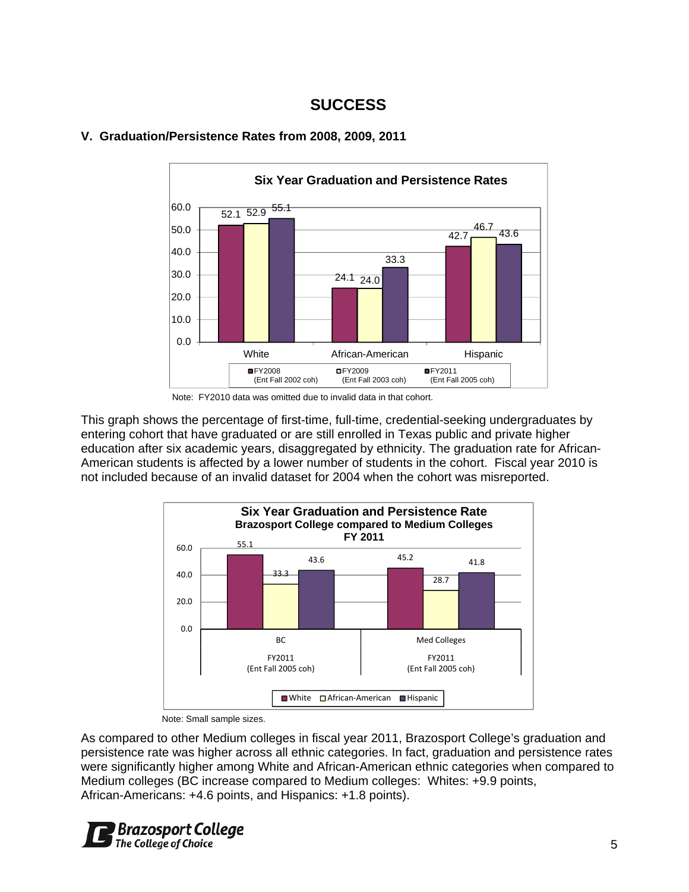## **SUCCESS**



#### **V. Graduation/Persistence Rates from 2008, 2009, 2011**

This graph shows the percentage of first-time, full-time, credential-seeking undergraduates by entering cohort that have graduated or are still enrolled in Texas public and private higher education after six academic years, disaggregated by ethnicity. The graduation rate for African-American students is affected by a lower number of students in the cohort. Fiscal year 2010 is not included because of an invalid dataset for 2004 when the cohort was misreported.



Note: Small sample sizes.

As compared to other Medium colleges in fiscal year 2011, Brazosport College's graduation and persistence rate was higher across all ethnic categories. In fact, graduation and persistence rates were significantly higher among White and African-American ethnic categories when compared to Medium colleges (BC increase compared to Medium colleges: Whites: +9.9 points, African-Americans: +4.6 points, and Hispanics: +1.8 points).



Note: FY2010 data was omitted due to invalid data in that cohort.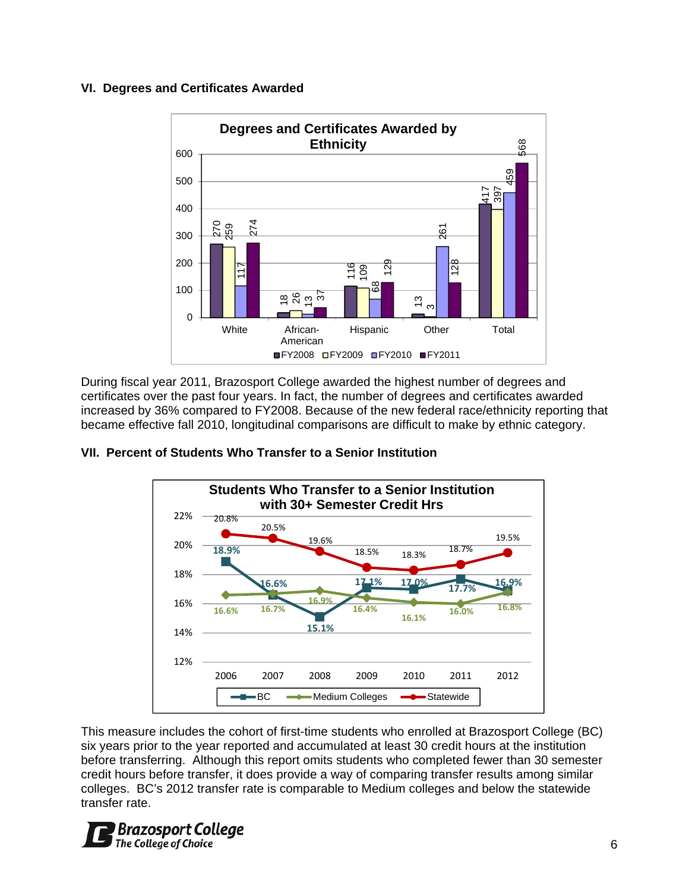#### **VI. Degrees and Certificates Awarded**



During fiscal year 2011, Brazosport College awarded the highest number of degrees and certificates over the past four years. In fact, the number of degrees and certificates awarded increased by 36% compared to FY2008. Because of the new federal race/ethnicity reporting that became effective fall 2010, longitudinal comparisons are difficult to make by ethnic category.



#### **VII. Percent of Students Who Transfer to a Senior Institution**

This measure includes the cohort of first-time students who enrolled at Brazosport College (BC) six years prior to the year reported and accumulated at least 30 credit hours at the institution before transferring. Although this report omits students who completed fewer than 30 semester credit hours before transfer, it does provide a way of comparing transfer results among similar colleges. BC's 2012 transfer rate is comparable to Medium colleges and below the statewide transfer rate.

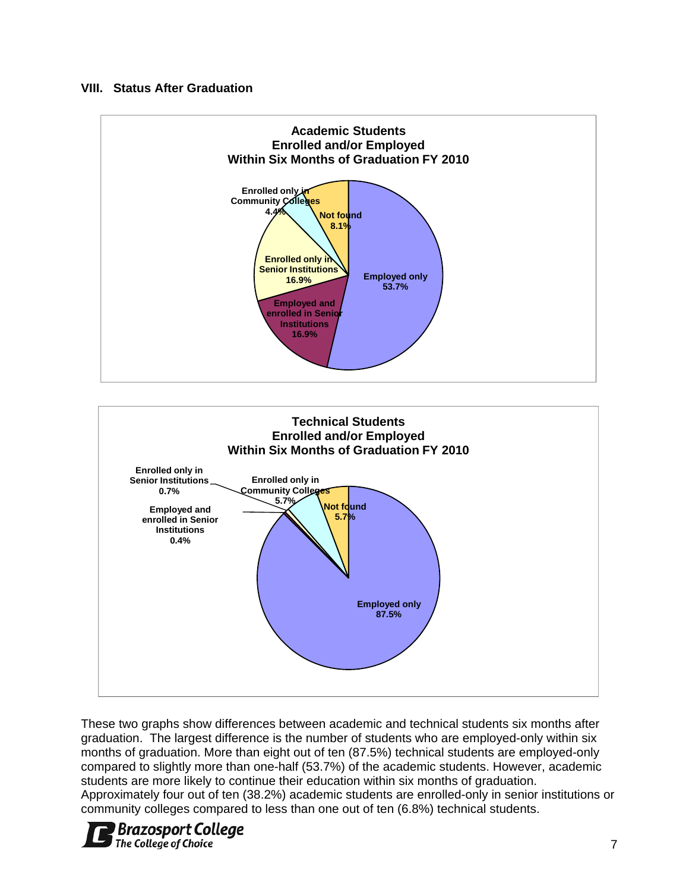#### **VIII. Status After Graduation**



These two graphs show differences between academic and technical students six months after graduation. The largest difference is the number of students who are employed-only within six months of graduation. More than eight out of ten (87.5%) technical students are employed-only compared to slightly more than one-half (53.7%) of the academic students. However, academic students are more likely to continue their education within six months of graduation. Approximately four out of ten (38.2%) academic students are enrolled-only in senior institutions or community colleges compared to less than one out of ten (6.8%) technical students.